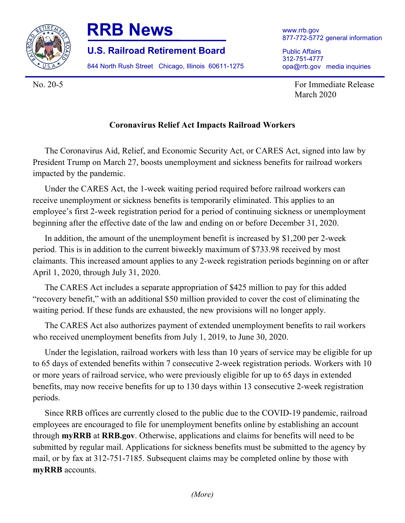



**U.S. Railroad Retirement Board**

844 North Rush Street Chicago, Illinois 60611-1275

www.rrb.gov 877-772-5772 general information

Public Affairs 312-751-4777 opa@rrb.gov media inquiries

No. 20-5 For Immediate Release March 2020

## **Coronavirus Relief Act Impacts Railroad Workers**

The Coronavirus Aid, Relief, and Economic Security Act, or CARES Act, signed into law by President Trump on March 27, boosts unemployment and sickness benefits for railroad workers impacted by the pandemic.

Under the CARES Act, the 1-week waiting period required before railroad workers can receive unemployment or sickness benefits is temporarily eliminated. This applies to an employee's first 2-week registration period for a period of continuing sickness or unemployment beginning after the effective date of the law and ending on or before December 31, 2020.

In addition, the amount of the unemployment benefit is increased by \$1,200 per 2-week period. This is in addition to the current biweekly maximum of \$733.98 received by most claimants. This increased amount applies to any 2-week registration periods beginning on or after April 1, 2020, through July 31, 2020.

The CARES Act includes a separate appropriation of \$425 million to pay for this added "recovery benefit," with an additional \$50 million provided to cover the cost of eliminating the waiting period. If these funds are exhausted, the new provisions will no longer apply.

The CARES Act also authorizes payment of extended unemployment benefits to rail workers who received unemployment benefits from July 1, 2019, to June 30, 2020.

Under the legislation, railroad workers with less than 10 years of service may be eligible for up to 65 days of extended benefits within 7 consecutive 2-week registration periods. Workers with 10 or more years of railroad service, who were previously eligible for up to 65 days in extended benefits, may now receive benefits for up to 130 days within 13 consecutive 2-week registration periods.

Since RRB offices are currently closed to the public due to the COVID-19 pandemic, railroad employees are encouraged to file for unemployment benefits online by establishing an account through **myRRB** at **RRB.gov**. Otherwise, applications and claims for benefits will need to be submitted by regular mail. Applications for sickness benefits must be submitted to the agency by mail, or by fax at 312-751-7185. Subsequent claims may be completed online by those with **myRRB** accounts.